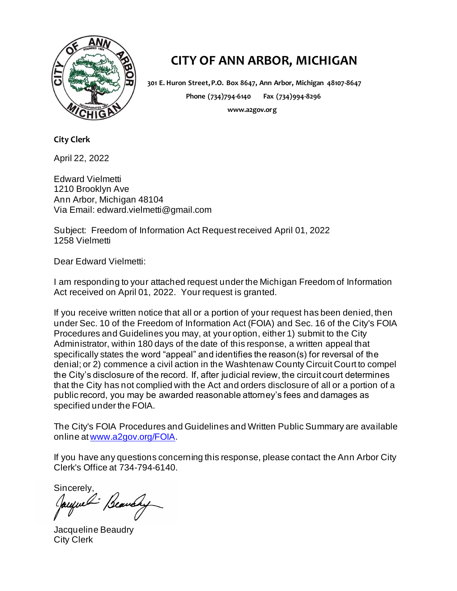

## **CITY OF ANN ARBOR, MICHIGAN**

**301 E. Huron Street, P.O. Box 8647, Ann Arbor, Michigan 48107-8647 Phone (734)794-6140 Fax (734)994-8296 www.a2gov.org**

**City Clerk**

April 22, 2022

Edward Vielmetti 1210 Brooklyn Ave Ann Arbor, Michigan 48104 Via Email: edward.vielmetti@gmail.com

Subject: Freedom of Information Act Request received April 01, 2022 1258 Vielmetti

Dear Edward Vielmetti:

I am responding to your attached request under the Michigan Freedom of Information Act received on April 01, 2022. Your request is granted.

If you receive written notice that all or a portion of your request has been denied, then under Sec. 10 of the Freedom of Information Act (FOIA) and Sec. 16 of the City's FOIA Procedures and Guidelines you may, at your option, either 1) submit to the City Administrator, within 180 days of the date of this response, a written appeal that specifically states the word "appeal" and identifies the reason(s) for reversal of the denial; or 2) commence a civil action in the Washtenaw County Circuit Court to compel the City's disclosure of the record. If, after judicial review, the circuit court determines that the City has not complied with the Act and orders disclosure of all or a portion of a public record, you may be awarded reasonable attorney's fees and damages as specified under the FOIA.

The City's FOIA Procedures and Guidelines and Written Public Summary are available online a[t www.a2gov.org/FOIA.](http://www.a2gov.org/FOIA)

If you have any questions concerning this response, please contact the Ann Arbor City Clerk's Office at 734-794-6140.

Sincerely,<br>Jayme Beauchy

Jacqueline Beaudry City Clerk